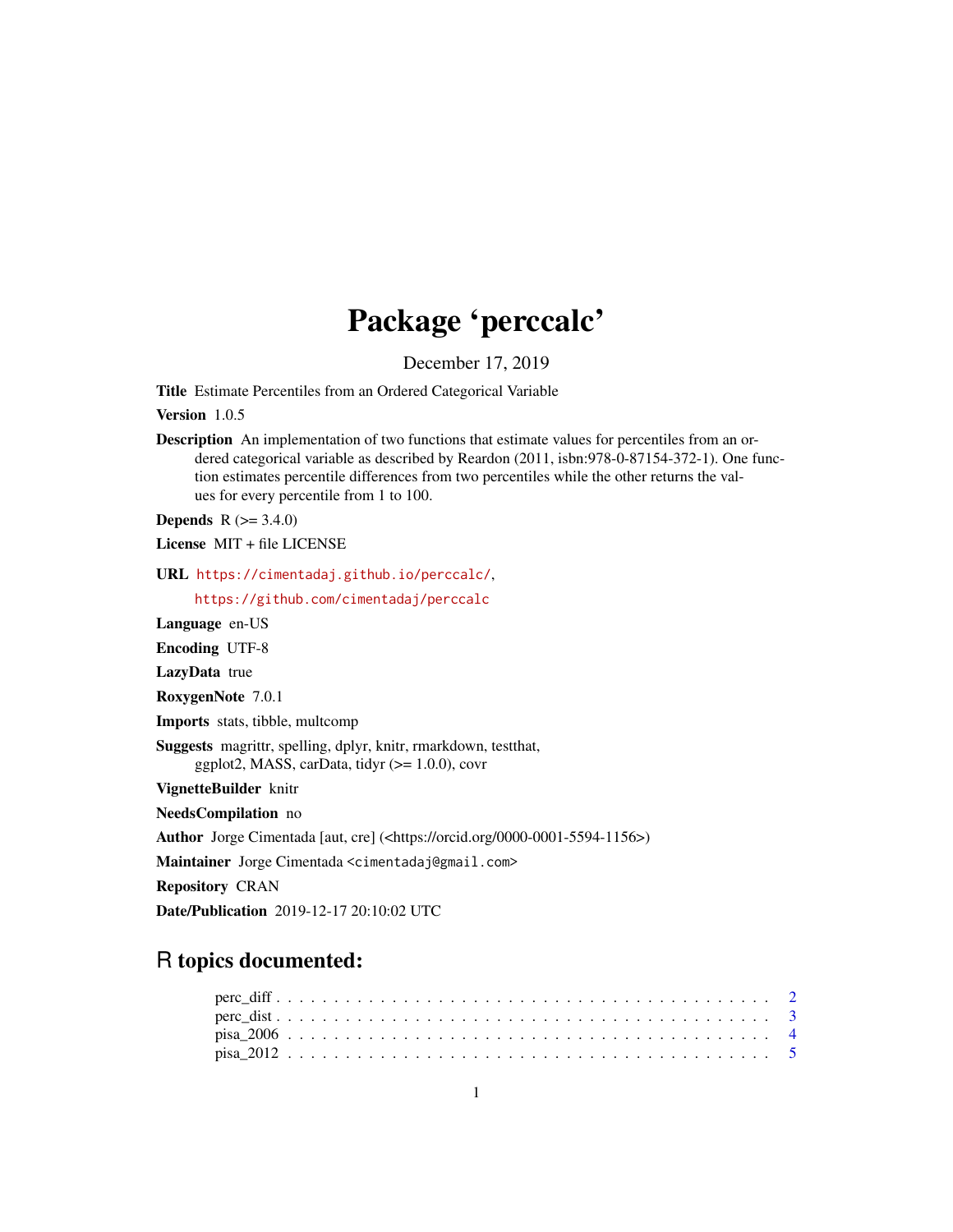## Package 'perccalc'

December 17, 2019

Title Estimate Percentiles from an Ordered Categorical Variable

Version 1.0.5

Description An implementation of two functions that estimate values for percentiles from an ordered categorical variable as described by Reardon (2011, isbn:978-0-87154-372-1). One function estimates percentile differences from two percentiles while the other returns the values for every percentile from 1 to 100.

**Depends**  $R (= 3.4.0)$ 

License MIT + file LICENSE

URL <https://cimentadaj.github.io/perccalc/>,

<https://github.com/cimentadaj/perccalc>

Language en-US

Encoding UTF-8

LazyData true

RoxygenNote 7.0.1

Imports stats, tibble, multcomp

Suggests magrittr, spelling, dplyr, knitr, rmarkdown, testthat, ggplot2, MASS, carData, tidyr  $(>= 1.0.0)$ , covr

VignetteBuilder knitr

NeedsCompilation no

Author Jorge Cimentada [aut, cre] (<https://orcid.org/0000-0001-5594-1156>)

Maintainer Jorge Cimentada <cimentadaj@gmail.com>

Repository CRAN

Date/Publication 2019-12-17 20:10:02 UTC

### R topics documented: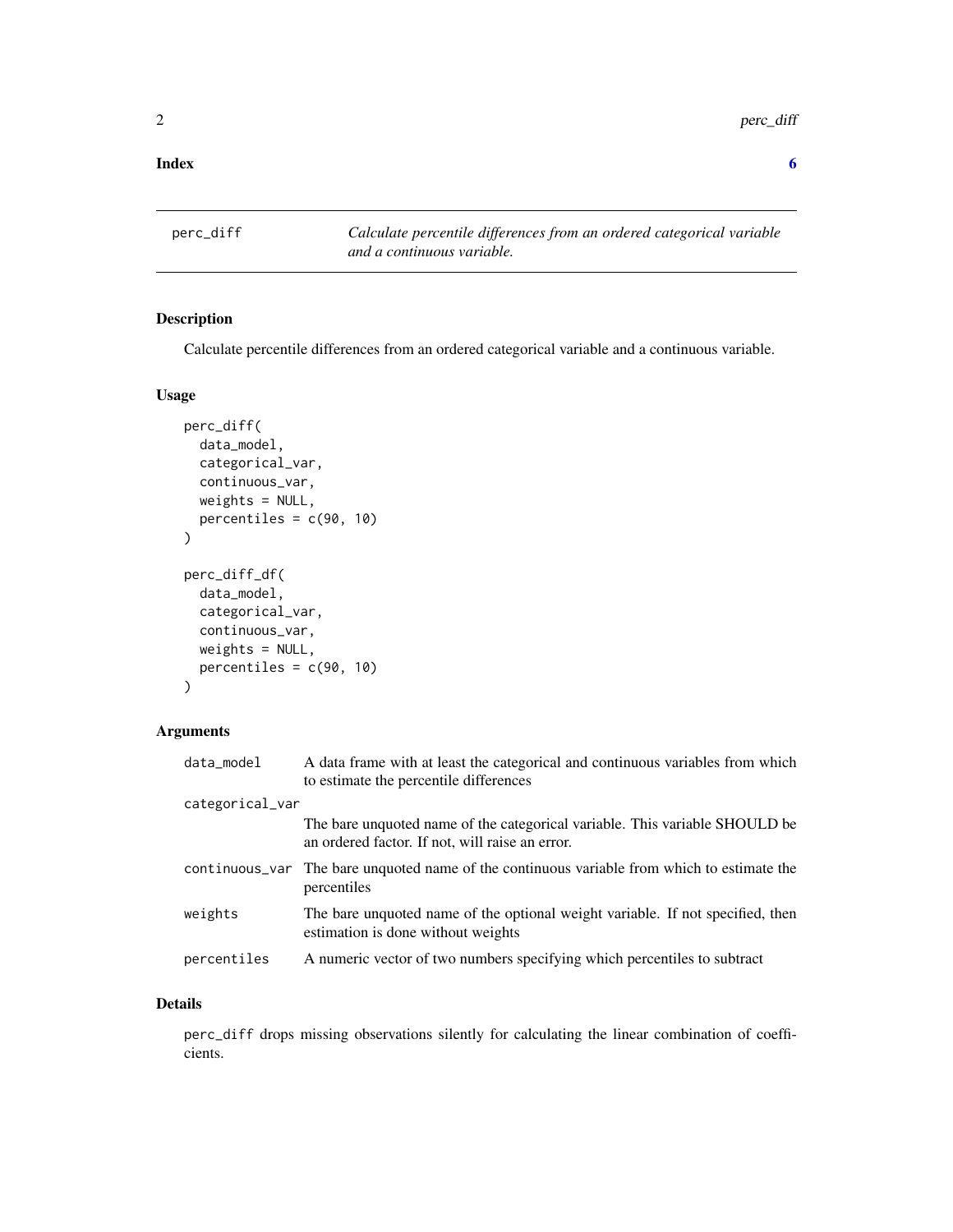#### <span id="page-1-0"></span>**Index** [6](#page-5-0) **6**

perc\_diff *Calculate percentile differences from an ordered categorical variable and a continuous variable.*

#### Description

Calculate percentile differences from an ordered categorical variable and a continuous variable.

#### Usage

```
perc_diff(
  data_model,
  categorical_var,
  continuous_var,
  weights = NULL,percentiles = c(90, 10)\mathcal{E}perc_diff_df(
  data_model,
  categorical_var,
  continuous_var,
  weights = NULL,
  percentiles = c(90, 10)\mathcal{L}
```
#### Arguments

| data_model      | A data frame with at least the categorical and continuous variables from which<br>to estimate the percentile differences       |
|-----------------|--------------------------------------------------------------------------------------------------------------------------------|
| categorical_var |                                                                                                                                |
|                 | The bare unquoted name of the categorical variable. This variable SHOULD be<br>an ordered factor. If not, will raise an error. |
|                 | continuous variable from which to estimate the continuous variable from which to estimate the<br>percentiles                   |
| weights         | The bare unquoted name of the optional weight variable. If not specified, then<br>estimation is done without weights           |
| percentiles     | A numeric vector of two numbers specifying which percentiles to subtract                                                       |
|                 |                                                                                                                                |

#### Details

perc\_diff drops missing observations silently for calculating the linear combination of coefficients.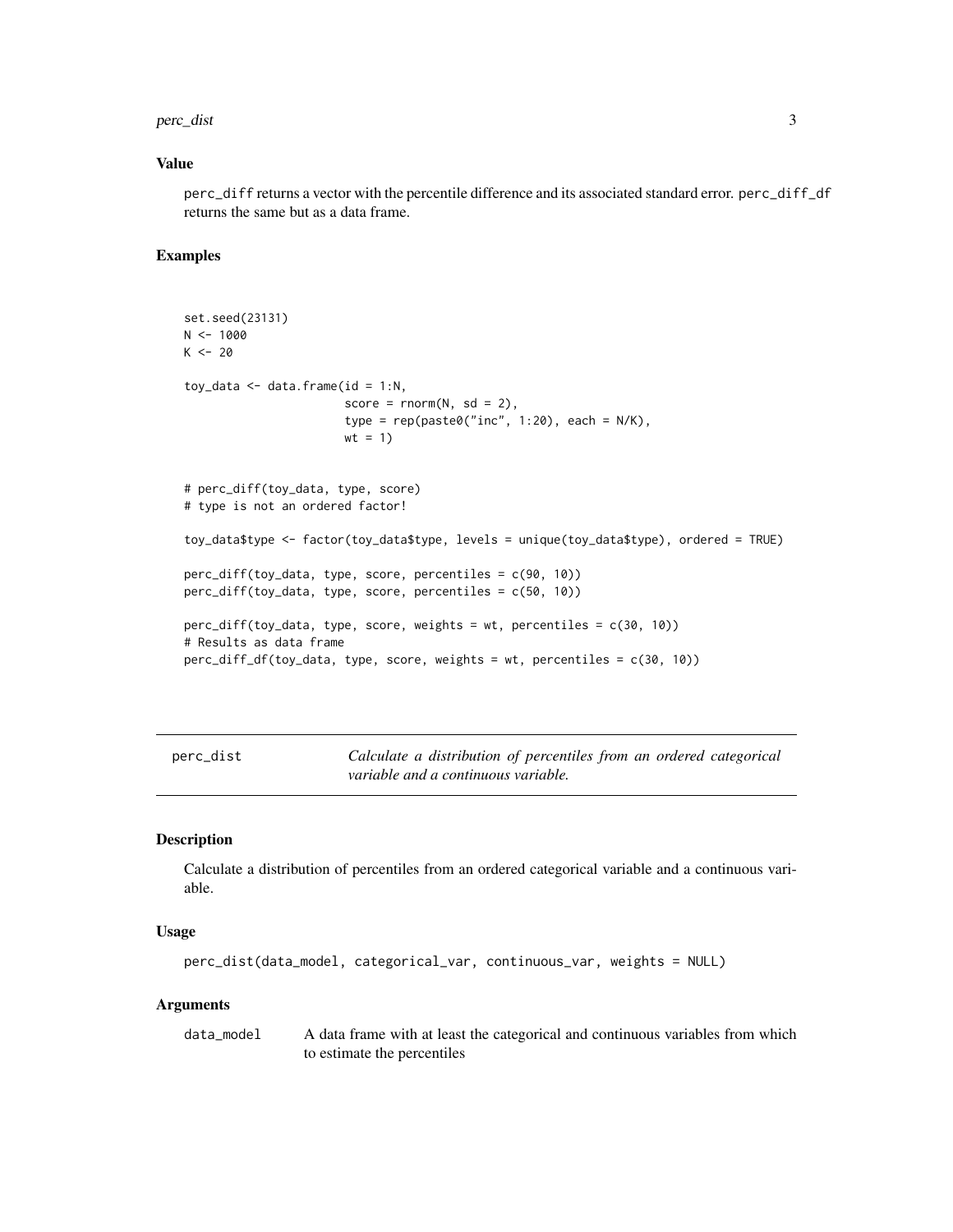#### <span id="page-2-0"></span>perc\_dist 3

#### Value

perc\_diff returns a vector with the percentile difference and its associated standard error. perc\_diff\_df returns the same but as a data frame.

#### Examples

```
set.seed(23131)
N < - 1000K < - 20toy_data \leq data.frame(id = 1:N,
                       score = rnorm(N, sd = 2),
                       type = rep(paste@("inc", 1:20), each = N/K),wt = 1)# perc_diff(toy_data, type, score)
# type is not an ordered factor!
toy_data$type <- factor(toy_data$type, levels = unique(toy_data$type), ordered = TRUE)
perc_diff(toy_data, type, score, percentiles = c(90, 10))
perc_diff(toy_data, type, score, percentiles = c(50, 10))
perc_diff(toy_data, type, score, weights = wt, percentiles = c(30, 10))
# Results as data frame
perc_diff_df(toy_data, type, score, weights = wt, percentiles = c(30, 10))
```
perc\_dist *Calculate a distribution of percentiles from an ordered categorical variable and a continuous variable.*

#### Description

Calculate a distribution of percentiles from an ordered categorical variable and a continuous variable.

#### Usage

```
perc_dist(data_model, categorical_var, continuous_var, weights = NULL)
```
#### Arguments

data\_model A data frame with at least the categorical and continuous variables from which to estimate the percentiles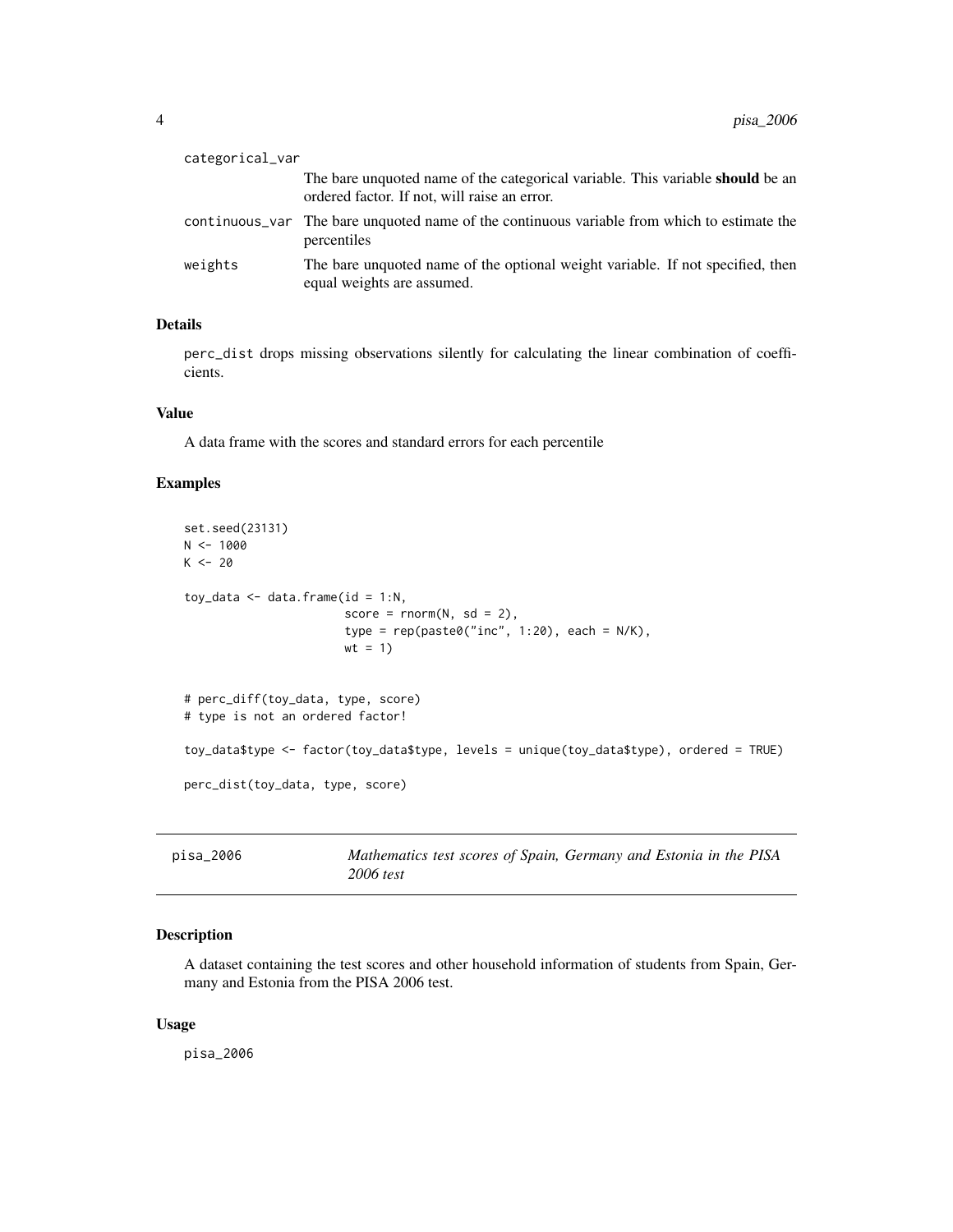<span id="page-3-0"></span>

| categorical_var |                                                                                                                                       |
|-----------------|---------------------------------------------------------------------------------------------------------------------------------------|
|                 | The bare unquoted name of the categorical variable. This variable <b>should</b> be an<br>ordered factor. If not, will raise an error. |
|                 | continuous var The bare unquoted name of the continuous variable from which to estimate the<br>percentiles                            |
| weights         | The bare unquoted name of the optional weight variable. If not specified, then<br>equal weights are assumed.                          |

#### Details

perc\_dist drops missing observations silently for calculating the linear combination of coefficients.

#### Value

A data frame with the scores and standard errors for each percentile

#### Examples

```
set.seed(23131)
N < - 1000K < - 20toy_data \leq data.frame(id = 1:N,
                       score = rnorm(N, sd = 2),
                       type = rep(paste@("inc", 1:20), each = N/K),wt = 1)# perc_diff(toy_data, type, score)
# type is not an ordered factor!
toy_data$type <- factor(toy_data$type, levels = unique(toy_data$type), ordered = TRUE)
perc_dist(toy_data, type, score)
```

| pisa_2006 | Mathematics test scores of Spain, Germany and Estonia in the PISA |
|-----------|-------------------------------------------------------------------|
|           | 2006 test                                                         |

#### Description

A dataset containing the test scores and other household information of students from Spain, Germany and Estonia from the PISA 2006 test.

#### Usage

pisa\_2006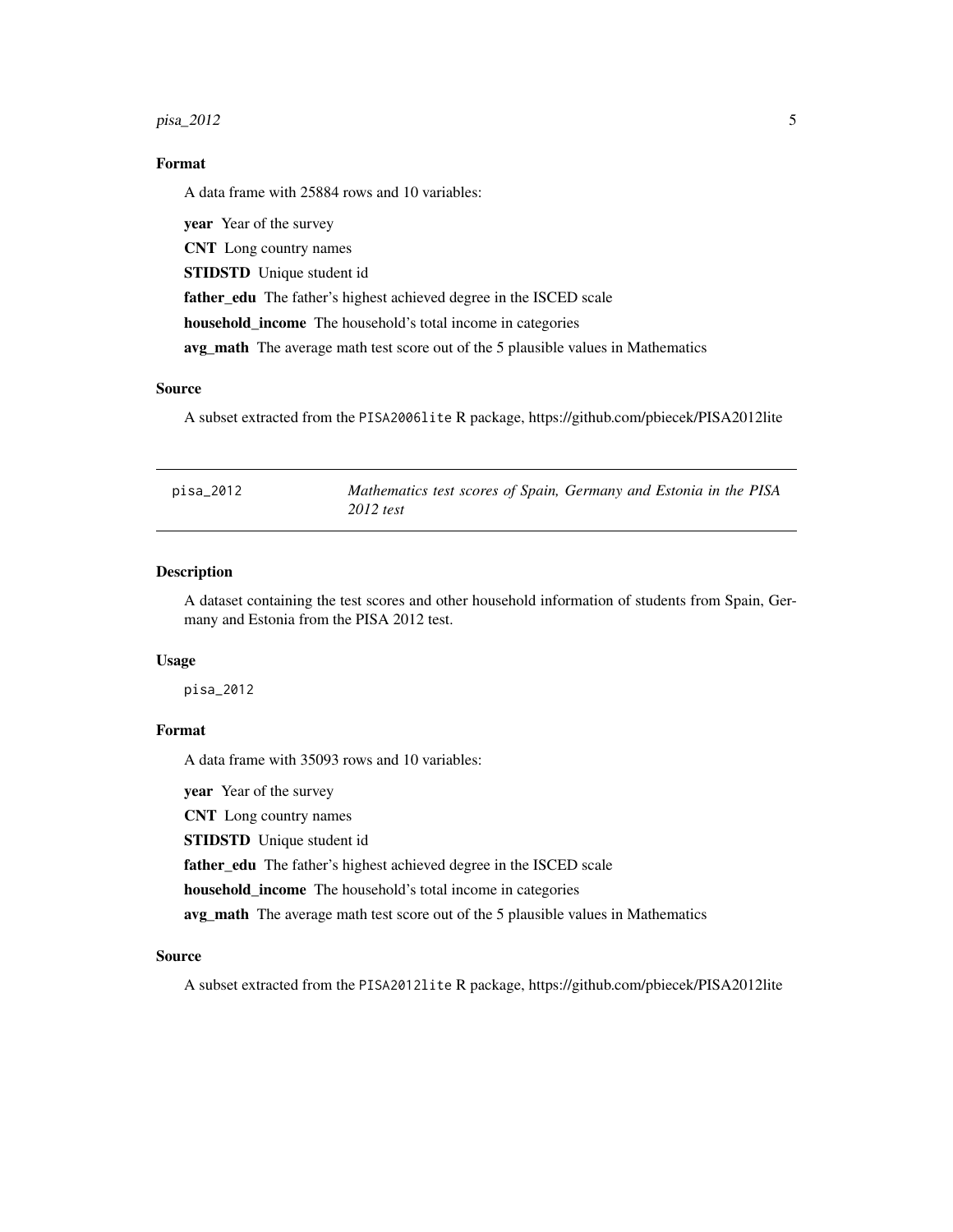#### <span id="page-4-0"></span>pisa\_2012 5

#### Format

A data frame with 25884 rows and 10 variables:

year Year of the survey CNT Long country names STIDSTD Unique student id father\_edu The father's highest achieved degree in the ISCED scale household\_income The household's total income in categories avg\_math The average math test score out of the 5 plausible values in Mathematics

#### Source

A subset extracted from the PISA2006lite R package, https://github.com/pbiecek/PISA2012lite

| pisa_2012 | Mathematics test scores of Spain, Germany and Estonia in the PISA |  |
|-----------|-------------------------------------------------------------------|--|
|           | $2012$ test                                                       |  |

#### Description

A dataset containing the test scores and other household information of students from Spain, Germany and Estonia from the PISA 2012 test.

#### Usage

pisa\_2012

#### Format

A data frame with 35093 rows and 10 variables:

year Year of the survey

CNT Long country names

STIDSTD Unique student id

father\_edu The father's highest achieved degree in the ISCED scale

household\_income The household's total income in categories

avg\_math The average math test score out of the 5 plausible values in Mathematics

#### Source

A subset extracted from the PISA2012lite R package, https://github.com/pbiecek/PISA2012lite